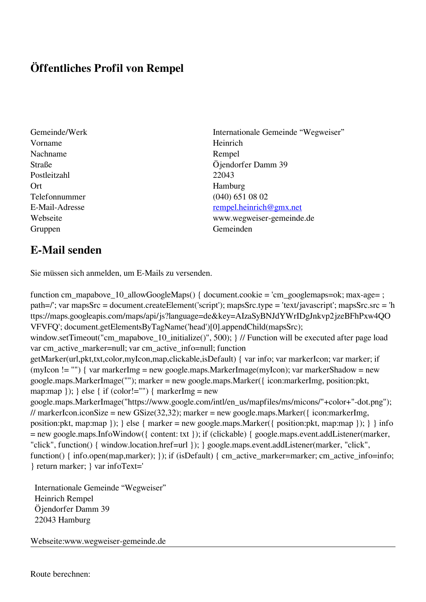## **Öffentliches Profil von Rempel**

- Vorname Heinrich Nachname Rempel Postleitzahl 22043 Ort Hamburg Telefonnummer (040) 651 08 02 Gruppen Gemeinden Gemeinden Gemeinden Gemeinden Gemeinden Gemeinden Gemeinden Gemeinden Gemeinden Gemeinden G
- Gemeinde/Werk Internationale Gemeinde "Wegweiser" Straße Öjendorfer Damm 39 E-Mail-Adresse [rempel.heinrich@gmx.net](mailto:rempel.heinrich@gmx.net) Webseite www.wegweiser-gemeinde.de

## **E-Mail senden**

Sie müssen sich anmelden, um E-Mails zu versenden.

function cm\_mapabove\_10\_allowGoogleMaps() { document.cookie = 'cm\_googlemaps=ok; max-age= ; path=/'; var mapsSrc = document.createElement('script'); mapsSrc.type = 'text/javascript'; mapsSrc.src = 'h ttps://maps.googleapis.com/maps/api/js?language=de&key=AIzaSyBNJdYWrIDgJnkvp2jzeBFhPxw4QO VFVFQ'; document.getElementsByTagName('head')[0].appendChild(mapsSrc); window.setTimeout("cm\_mapabove\_10\_initialize()", 500); } // Function will be executed after page load var cm\_active\_marker=null; var cm\_active\_info=null; function getMarker(url,pkt,txt,color,myIcon,map,clickable,isDefault) { var info; var markerIcon; var marker; if (myIcon != "") { var markerImg = new google.maps.MarkerImage(myIcon); var markerShadow = new google.maps.MarkerImage(""); marker = new google.maps.Marker({ icon:markerImg, position:pkt, map:map  $\}$ ;  $\}$  else  $\{$  if (color!="")  $\{$  markerImg = new google.maps.MarkerImage("https://www.google.com/intl/en\_us/mapfiles/ms/micons/"+color+"-dot.png"); // markerIcon.iconSize = new GSize(32,32); marker = new google.maps.Marker( $\{$  icon:markerImg, position:pkt, map:map }); } else { marker = new google.maps.Marker({ position:pkt, map:map }); } } info = new google.maps.InfoWindow({ content: txt }); if (clickable) { google.maps.event.addListener(marker, "click", function() { window.location.href=url }); } google.maps.event.addListener(marker, "click", function() { info.open(map,marker); }); if (isDefault) { cm\_active\_marker=marker; cm\_active\_info=info; } return marker; } var infoText='

 Internationale Gemeinde "Wegweiser" Heinrich Rempel Öjendorfer Damm 39 22043 Hamburg

Webseite:www.wegweiser-gemeinde.de